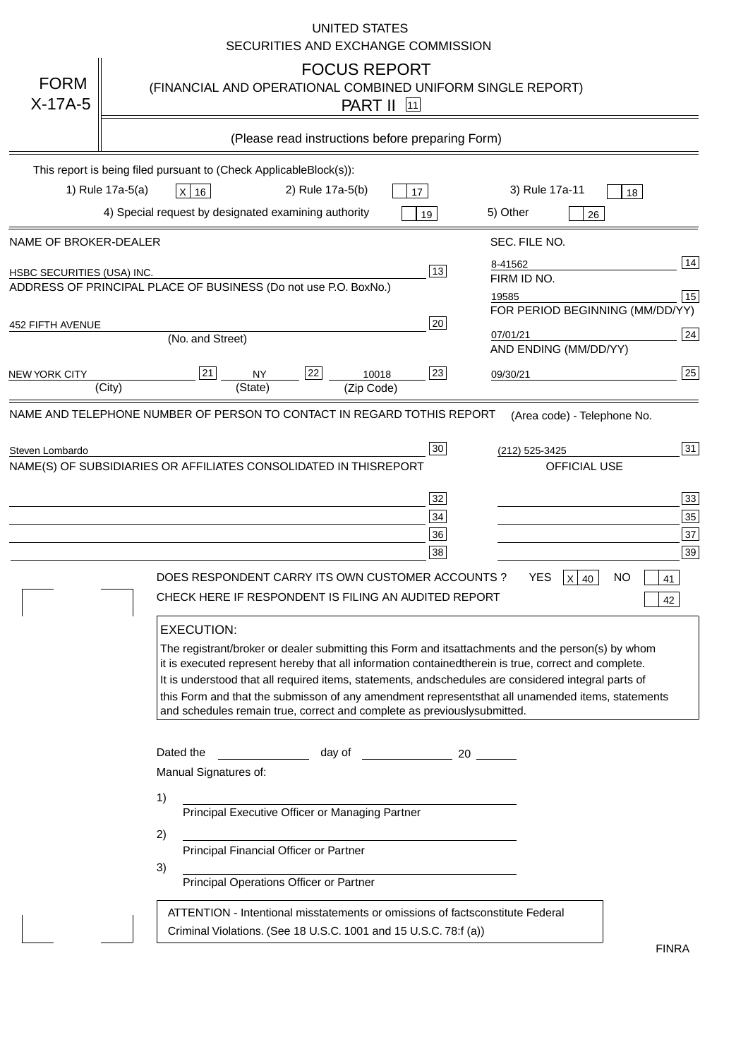|                                   | <b>UNITED STATES</b><br>SECURITIES AND EXCHANGE COMMISSION                                                                                                                                                                                                                                                                                                                                                                                                                                                                                                                                                                                                                                                                                                                                                                                                                                             |
|-----------------------------------|--------------------------------------------------------------------------------------------------------------------------------------------------------------------------------------------------------------------------------------------------------------------------------------------------------------------------------------------------------------------------------------------------------------------------------------------------------------------------------------------------------------------------------------------------------------------------------------------------------------------------------------------------------------------------------------------------------------------------------------------------------------------------------------------------------------------------------------------------------------------------------------------------------|
| <b>FORM</b><br>$X-17A-5$          | <b>FOCUS REPORT</b><br>(FINANCIAL AND OPERATIONAL COMBINED UNIFORM SINGLE REPORT)<br><b>PART II</b> 11                                                                                                                                                                                                                                                                                                                                                                                                                                                                                                                                                                                                                                                                                                                                                                                                 |
|                                   | (Please read instructions before preparing Form)                                                                                                                                                                                                                                                                                                                                                                                                                                                                                                                                                                                                                                                                                                                                                                                                                                                       |
|                                   | This report is being filed pursuant to (Check Applicable<br>$Block(s)$ :<br>3) Rule 17a-11<br>1) Rule 17a-5(a)<br>2) Rule 17a-5(b)<br>$X$ 16<br>17<br>18<br>4) Special request by designated examining authority<br>5) Other<br>19<br>26                                                                                                                                                                                                                                                                                                                                                                                                                                                                                                                                                                                                                                                               |
| NAME OF BROKER-DEALER             | SEC. FILE NO.                                                                                                                                                                                                                                                                                                                                                                                                                                                                                                                                                                                                                                                                                                                                                                                                                                                                                          |
| <b>HSBC SECURITIES (USA) INC.</b> | 14<br>8-41562<br>13<br>FIRM ID NO.<br>ADDRESS OF PRINCIPAL PLACE OF BUSINESS (Do not use P.O. Box<br>No.)<br>15<br>19585<br>FOR PERIOD BEGINNING (MM/DD/YY)<br>20                                                                                                                                                                                                                                                                                                                                                                                                                                                                                                                                                                                                                                                                                                                                      |
| <b>452 FIFTH AVENUE</b>           | 24<br>07/01/21<br>(No. and Street)<br>AND ENDING (MM/DD/YY)                                                                                                                                                                                                                                                                                                                                                                                                                                                                                                                                                                                                                                                                                                                                                                                                                                            |
| <b>NEW YORK CITY</b>              | 25<br>22<br>21<br>23<br><b>NY</b><br>10018<br>09/30/21<br>(City)<br>(State)<br>(Zip Code)                                                                                                                                                                                                                                                                                                                                                                                                                                                                                                                                                                                                                                                                                                                                                                                                              |
| Steven Lombardo                   | 31<br>30<br>(212) 525-3425<br>NAME(S) OF SUBSIDIARIES OR AFFILIATES CONSOLIDATED IN THIS<br><b>REPORT</b><br><b>OFFICIAL USE</b><br>$\overline{33}$<br>32<br>35<br>34<br>37<br>36<br>39<br>38<br>DOES RESPONDENT CARRY ITS OWN CUSTOMER ACCOUNTS?<br><b>YES</b><br>$X$ 40<br><b>NO</b><br>41<br>CHECK HERE IF RESPONDENT IS FILING AN AUDITED REPORT<br>42<br><b>EXECUTION:</b><br>The registrant/broker or dealer submitting this Form and its<br>attachments and the person(s) by whom<br>it is executed represent hereby that all information contained<br>therein is true, correct and complete.<br>It is understood that all required items, statements, and<br>schedules are considered integral parts of<br>this Form and that the submisson of any amendment represents<br>that all unamended items, statements<br>and schedules remain true, correct and complete as previously<br>submitted. |
|                                   | Dated the<br>day of<br>20<br>Manual Signatures of:<br>1)<br>Principal Executive Officer or Managing Partner<br>2)<br>Principal Financial Officer or Partner<br>3)<br>Principal Operations Officer or Partner                                                                                                                                                                                                                                                                                                                                                                                                                                                                                                                                                                                                                                                                                           |
|                                   | ATTENTION - Intentional misstatements or omissions of facts<br>constitute Federal<br>Criminal Violations. (See 18 U.S.C. 1001 and 15 U.S.C. 78:f (a)<br>$\lambda$<br><b>FINRA</b>                                                                                                                                                                                                                                                                                                                                                                                                                                                                                                                                                                                                                                                                                                                      |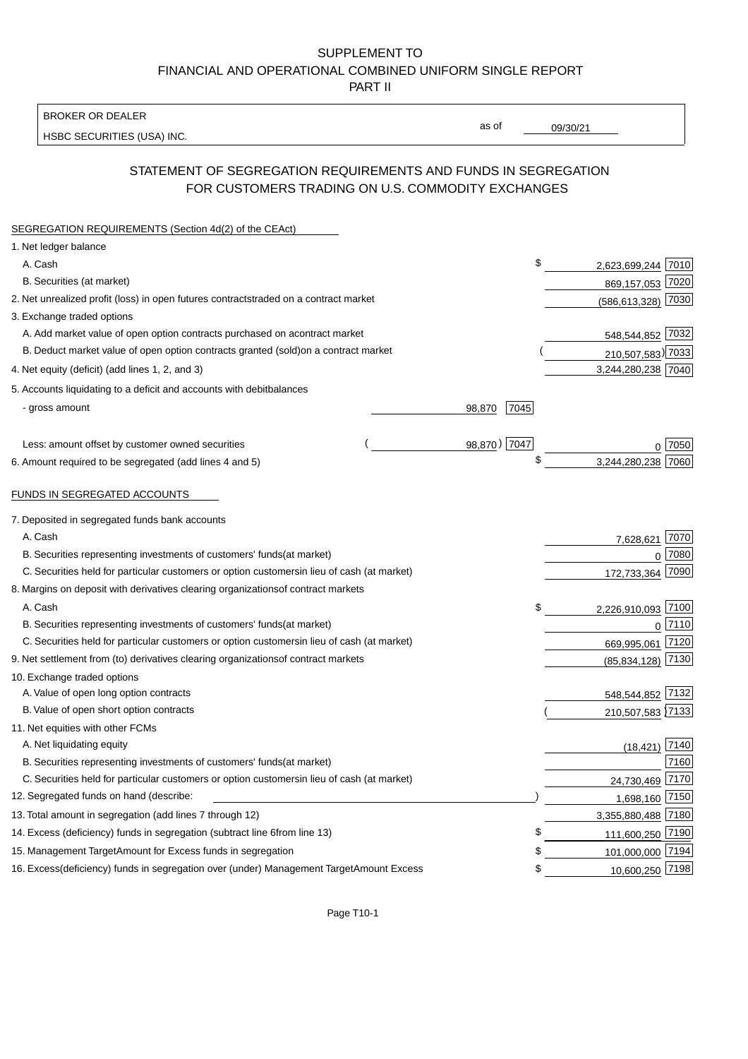BROKER OR DEALER

HSBC SECURITIES (USA) INC.

09/30/21

as of

# STATEMENT OF SEGREGATION REQUIREMENTS AND FUNDS IN SEGREGATION FOR CUSTOMERS TRADING ON U.S. COMMODITY EXCHANGES

| SEGREGATION REQUIREMENTS (Section 4d(2) of the CEAct)                                          |              |                    |        |
|------------------------------------------------------------------------------------------------|--------------|--------------------|--------|
| 1. Net ledger balance                                                                          |              |                    |        |
| A. Cash                                                                                        | \$           | 2,623,699,244 7010 |        |
| B. Securities (at market)                                                                      |              | 869,157,053 7020   |        |
| 2. Net unrealized profit (loss) in open futures contracts<br>traded on a contract market       |              | (586,613,328) 7030 |        |
| 3. Exchange traded options                                                                     |              |                    |        |
| A. Add market value of open option contracts purchased on a<br>contract market                 |              | 548,544,852 7032   |        |
| B. Deduct market value of open option contracts granted (sold)<br>on a contract market         |              | 210,507,583) 7033  |        |
| 4. Net equity (deficit) (add lines 1, 2, and 3)                                                |              | 3,244,280,238 7040 |        |
| 5. Accounts liquidating to a deficit and accounts with debit<br>balances                       |              |                    |        |
| - gross amount<br>98,870                                                                       | 7045         |                    |        |
|                                                                                                |              |                    |        |
| Less: amount offset by customer owned securities                                               | 98,870) 7047 | 0.7050             |        |
| 6. Amount required to be segregated (add lines 4 and 5)                                        |              | 3,244,280,238      | 7060   |
|                                                                                                |              |                    |        |
| FUNDS IN SEGREGATED ACCOUNTS                                                                   |              |                    |        |
| 7. Deposited in segregated funds bank accounts                                                 |              |                    |        |
| A. Cash                                                                                        |              | 7,628,621          | 7070   |
| B. Securities representing investments of customers' funds<br>(at market)                      |              | $\Omega$           | 7080   |
| C. Securities held for particular customers or option customers<br>in lieu of cash (at market) |              | 172,733,364        | 7090   |
| 8. Margins on deposit with derivatives clearing organizations<br>of contract markets           |              |                    |        |
| A. Cash                                                                                        | \$           | 2,226,910,093 7100 |        |
| B. Securities representing investments of customers' funds<br>(at market)                      |              | $\Omega$           | $7110$ |
| C. Securities held for particular customers or option customers<br>in lieu of cash (at market) |              | 669,995,061        | 7120   |
| 9. Net settlement from (to) derivatives clearing organizations<br>of contract markets          |              | (85, 834, 128)     | 7130   |
| 10. Exchange traded options                                                                    |              |                    |        |
| A. Value of open long option contracts                                                         |              | 548,544,852 7132   |        |
| B. Value of open short option contracts                                                        |              | 210,507,583 7133   |        |
| 11. Net equities with other FCMs                                                               |              |                    |        |
| A. Net liquidating equity                                                                      |              | $(18, 421)$ 7140   |        |
| B. Securities representing investments of customers' funds<br>(at market)                      |              |                    | 7160   |
| C. Securities held for particular customers or option customers<br>in lieu of cash (at market) |              | 24,730,469 7170    |        |
| 12. Segregated funds on hand (describe:                                                        |              | 1,698,160 7150     |        |
| 13. Total amount in segregation (add lines 7 through 12)                                       |              | 3,355,880,488 7180 |        |
| 14. Excess (deficiency) funds in segregation (subtract line 6 from line 13)                    | \$           | 111,600,250 7190   |        |
| 15. Management Target Amount for Excess funds in segregation                                   | \$           | 101,000,000 7194   |        |
| 16. Excess (deficiency) funds in segregation over (under) Management Target Amount Excess      | \$           | 10,600,250 7198    |        |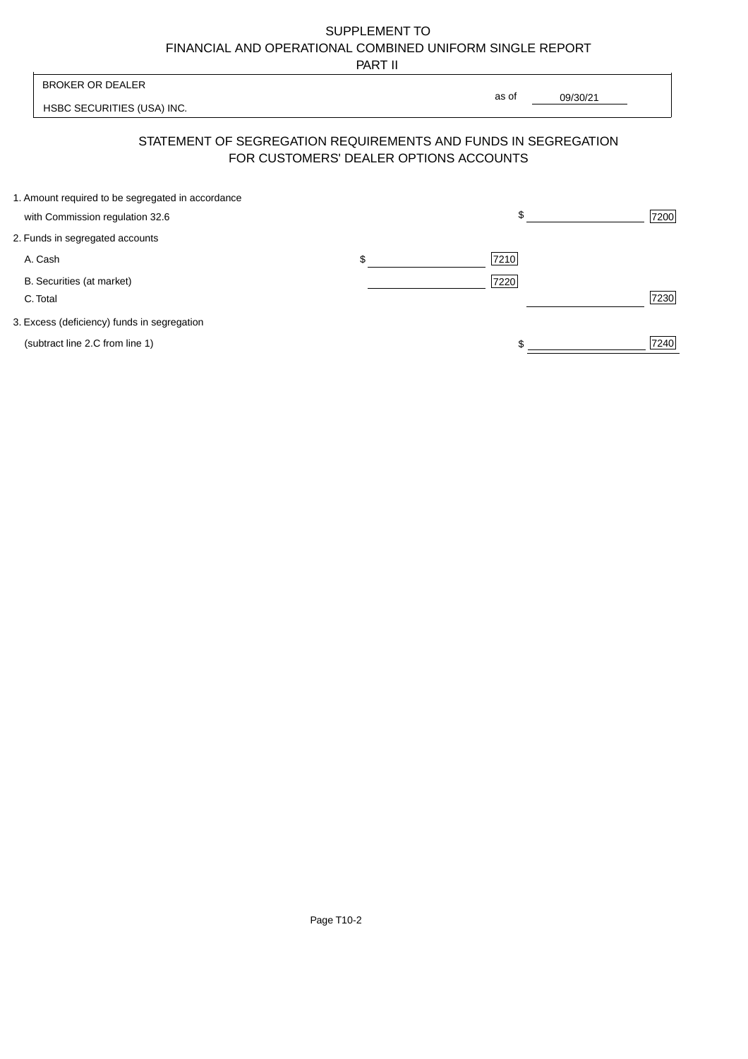PART II

|                                                   | 1 AB 11 |      |             |                                                                                                                      |
|---------------------------------------------------|---------|------|-------------|----------------------------------------------------------------------------------------------------------------------|
|                                                   |         |      |             |                                                                                                                      |
|                                                   |         |      |             |                                                                                                                      |
|                                                   |         |      |             |                                                                                                                      |
| 1. Amount required to be segregated in accordance |         |      |             | 7200                                                                                                                 |
|                                                   |         |      |             |                                                                                                                      |
|                                                   |         |      |             |                                                                                                                      |
|                                                   | \$      | 7210 |             |                                                                                                                      |
|                                                   |         | 7220 |             |                                                                                                                      |
|                                                   |         |      |             | 7230                                                                                                                 |
|                                                   |         |      |             |                                                                                                                      |
|                                                   |         |      |             | 7240                                                                                                                 |
|                                                   |         |      | as of<br>\$ | 09/30/21<br>STATEMENT OF SEGREGATION REQUIREMENTS AND FUNDS IN SEGREGATION<br>FOR CUSTOMERS' DEALER OPTIONS ACCOUNTS |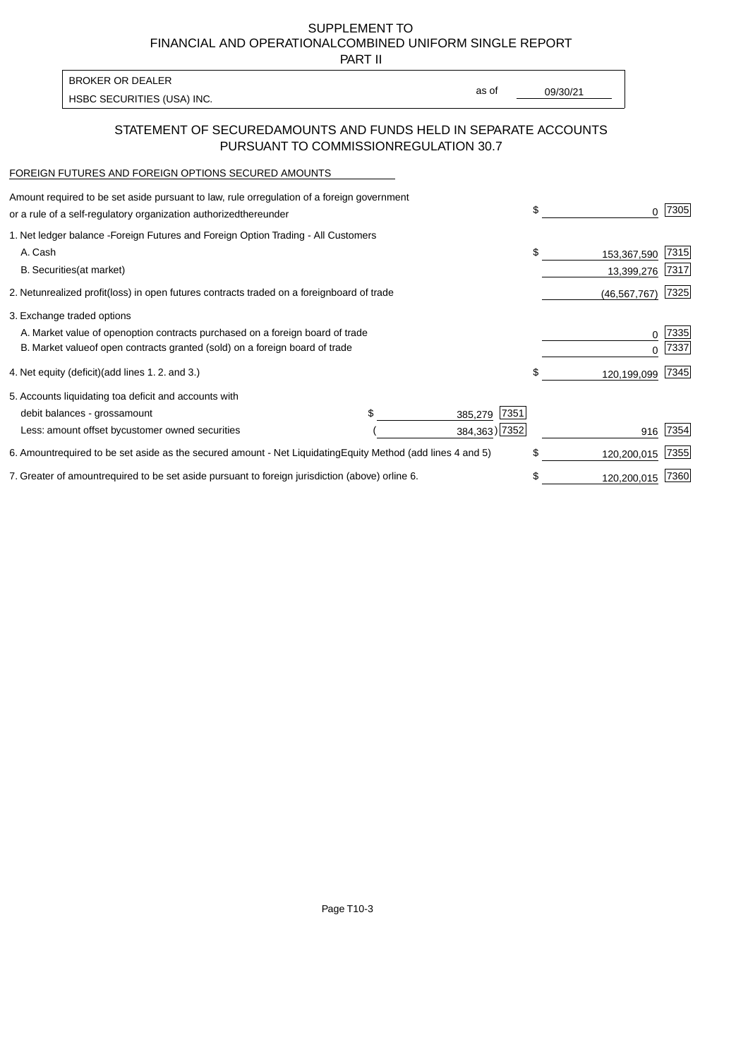PART II

HSBC SECURITIES (USA) INC. The state of the second second second second second second second second second second second second second second second second second second second second second second second second second sec BROKER OR DEALER

as of

### STATEMENT OF SECURED AMOUNTS AND FUNDS HELD IN SEPARATE ACCOUNTS PURSUANT TO COMMISSION REGULATION 30.7

#### FOREIGN FUTURES AND FOREIGN OPTIONS SECURED AMOUNTS

| Amount required to be set aside pursuant to law, rule or<br>regulation of a foreign government<br>or a rule of a self-regulatory organization authorized<br>thereunder                       | \$<br>O.                        | 7305         |
|----------------------------------------------------------------------------------------------------------------------------------------------------------------------------------------------|---------------------------------|--------------|
| 1. Net ledger balance - Foreign Futures and Foreign Option Trading - All Customers<br>A. Cash<br><b>B.</b> Securities<br>(at market)                                                         | \$<br>153,367,590<br>13,399,276 | 7315<br>7317 |
| 2. Net unrealized profit (loss) in open futures contracts traded on a foreign<br>board of trade                                                                                              | (46, 567, 767)                  | 7325         |
| 3. Exchange traded options<br>A. Market value of open option contracts purchased on a foreign board of trade<br>B. Market value of open contracts granted (sold) on a foreign board of trade | 0<br><sup>0</sup>               | 7335<br>7337 |
| 4. Net equity (deficit) (add lines 1.2. and 3.)                                                                                                                                              | \$<br>120,199,099               | 7345         |
| 5. Accounts liquidating to a deficit and accounts with<br>\$.<br>7351<br>debit balances - gross<br>amount<br>385,279<br>384,363) 7352<br>Less: amount offset by customer owned securities    | 916                             | 7354         |
| 6. Amount required to be set aside as the secured amount - Net Liquidating<br>Equity Method (add lines 4 and 5)                                                                              | \$<br>120,200,015               | 7355         |
| 7. Greater of amount required to be set aside pursuant to foreign jurisdiction (above) or<br>line 6.                                                                                         | \$<br>120,200,015               | 7360         |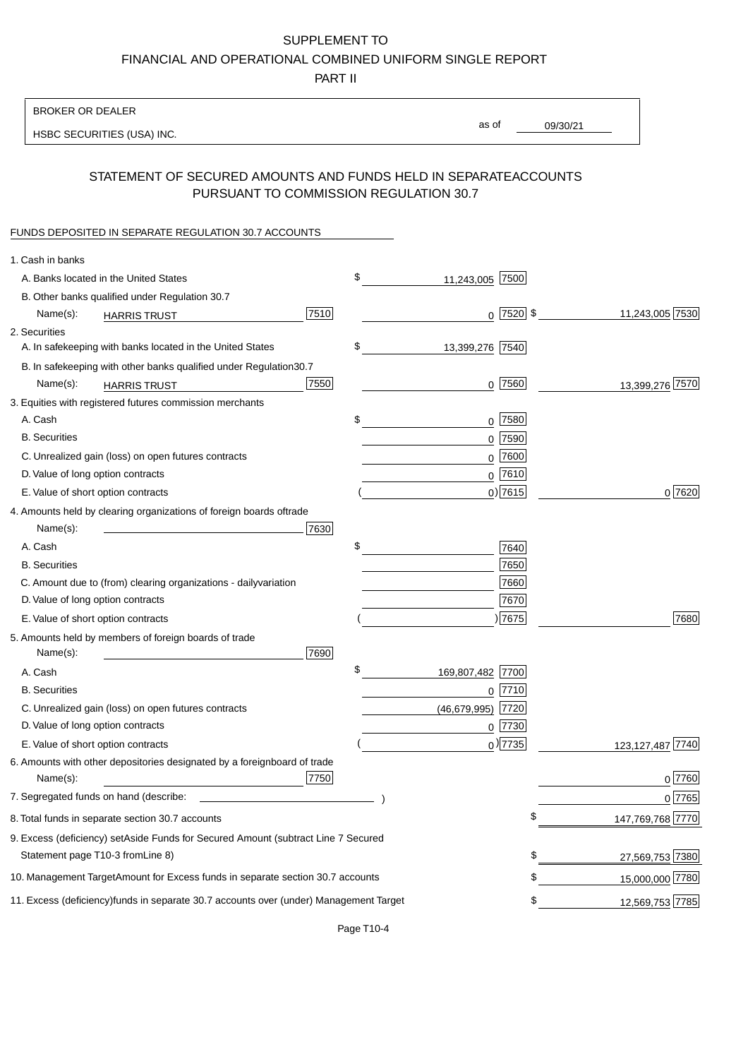PART II

| as of<br>09/30/21<br>HSBC SECURITIES (USA) INC.<br>STATEMENT OF SECURED AMOUNTS AND FUNDS HELD IN SEPARATE<br><b>ACCOUNTS</b><br>PURSUANT TO COMMISSION REGULATION 30.7<br>FUNDS DEPOSITED IN SEPARATE REGULATION 30.7 ACCOUNTS<br>1. Cash in banks |
|-----------------------------------------------------------------------------------------------------------------------------------------------------------------------------------------------------------------------------------------------------|
|                                                                                                                                                                                                                                                     |
|                                                                                                                                                                                                                                                     |
|                                                                                                                                                                                                                                                     |
|                                                                                                                                                                                                                                                     |
|                                                                                                                                                                                                                                                     |
| \$<br>A. Banks located in the United States<br>11,243,005 7500                                                                                                                                                                                      |
| B. Other banks qualified under Regulation 30.7                                                                                                                                                                                                      |
| 11,243,005 7530<br>$0$   7520   \$<br>7510<br>Name(s):<br><b>HARRIS TRUST</b>                                                                                                                                                                       |
| 2. Securities                                                                                                                                                                                                                                       |
| \$<br>A. In safekeeping with banks located in the United States<br>13,399,276 7540                                                                                                                                                                  |
| 30.7<br>B. In safekeeping with other banks qualified under Regulation                                                                                                                                                                               |
| 7550<br>$0$ 7560<br>13,399,276 7570<br>Name(s):<br><b>HARRIS TRUST</b>                                                                                                                                                                              |
| 3. Equities with registered futures commission merchants                                                                                                                                                                                            |
| A. Cash<br>\$<br>$0$ 7580                                                                                                                                                                                                                           |
| <b>B.</b> Securities<br>$0$ 7590                                                                                                                                                                                                                    |
| $0$ 7600<br>C. Unrealized gain (loss) on open futures contracts                                                                                                                                                                                     |
| $0^{7610}$<br>D. Value of long option contracts                                                                                                                                                                                                     |
| $0)$ 7615<br>0 7620<br>E. Value of short option contracts                                                                                                                                                                                           |
| 4. Amounts held by clearing organizations of foreign boards of<br>trade                                                                                                                                                                             |
| Name(s):<br>7630                                                                                                                                                                                                                                    |
| \$<br>A. Cash<br>7640                                                                                                                                                                                                                               |
| 7650<br><b>B.</b> Securities                                                                                                                                                                                                                        |
| 7660<br>C. Amount due to (from) clearing organizations - daily<br>variation                                                                                                                                                                         |
| D. Value of long option contracts<br>7670                                                                                                                                                                                                           |
| )7675<br>7680<br>E. Value of short option contracts                                                                                                                                                                                                 |
| 5. Amounts held by members of foreign boards of trade<br>Name(s):<br>7690                                                                                                                                                                           |
| \$<br>169,807,482 7700<br>A. Cash                                                                                                                                                                                                                   |
| <b>B.</b> Securities<br>$0$  7710                                                                                                                                                                                                                   |
| 7720<br>C. Unrealized gain (loss) on open futures contracts<br>(46, 679, 995)                                                                                                                                                                       |
| D. Value of long option contracts<br>$0$ 7730                                                                                                                                                                                                       |
| $_0$ ) 7735<br>123, 127, 487 7740<br>E. Value of short option contracts                                                                                                                                                                             |
| 6. Amounts with other depositories designated by a foreign<br>board of trade<br>7750<br>0 7760<br>Name(s):                                                                                                                                          |
| 7. Segregated funds on hand (describe:<br>0 7765                                                                                                                                                                                                    |
| \$<br>147,769,768 7770<br>8. Total funds in separate section 30.7 accounts                                                                                                                                                                          |
| 9. Excess (deficiency) set Aside Funds for Secured Amount (subtract Line 7 Secured                                                                                                                                                                  |
| Statement page T10-3 from Line 8)<br>\$<br>27,569,753 7380                                                                                                                                                                                          |
| \$<br>10. Management Target Amount for Excess funds in separate section 30.7 accounts<br>15,000,000 7780                                                                                                                                            |
| 11. Excess (deficiency) funds in separate 30.7 accounts over (under) Management Target<br>12,569,753 7785<br>\$                                                                                                                                     |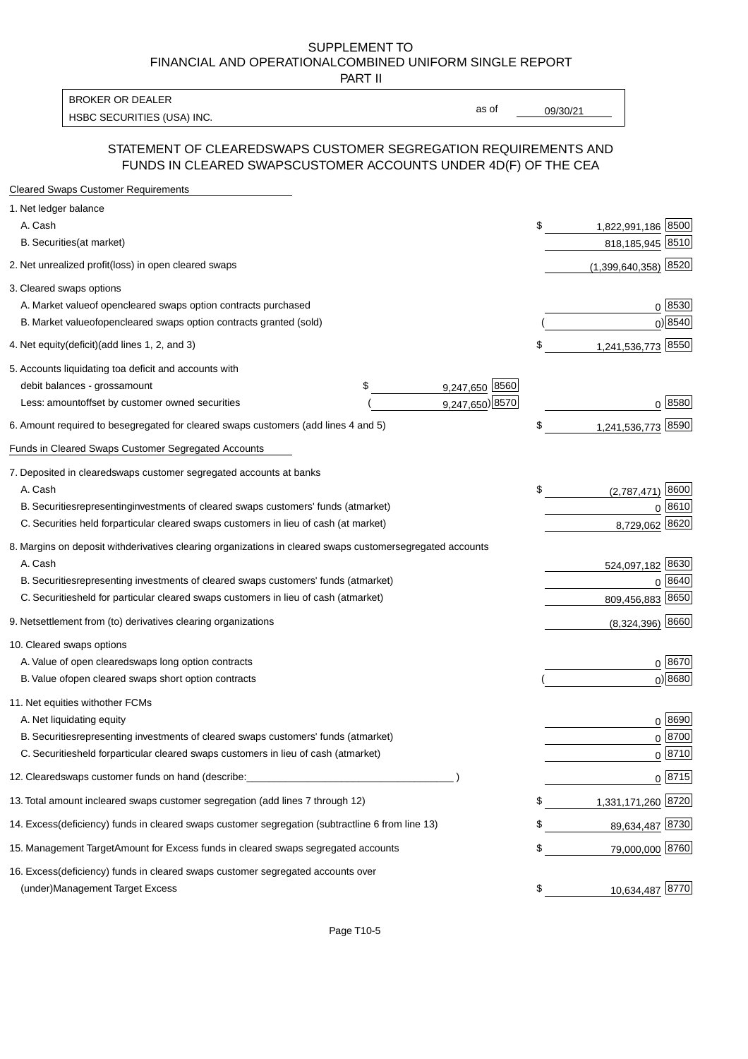PART II

HSBC SECURITIES (USA) INC. The state of the second second second second second second second second second second second second second second second second second second second second second second second second second sec BROKER OR DEALER

as of

#### STATEMENT OF CLEARED SWAPS CUSTOMER SEGREGATION REQUIREMENTS AND FUNDS IN CLEARED SWAPS CUSTOMER ACCOUNTS UNDER 4D(F) OF THE CEA

| <b>Cleared Swaps Customer Requirements</b>                                                                  |                           |
|-------------------------------------------------------------------------------------------------------------|---------------------------|
| 1. Net ledger balance                                                                                       |                           |
| A. Cash                                                                                                     | \$<br>1,822,991,186 8500  |
| B. Securities (at market)                                                                                   | 818, 185, 945 8510        |
| 2. Net unrealized profit (loss) in open cleared swaps                                                       | $(1,399,640,358)$ 8520    |
| 3. Cleared swaps options                                                                                    |                           |
| A. Market value of open cleared swaps option contracts purchased                                            | 0   8530                  |
| B. Market value of open cleared swaps option contracts granted (sold)                                       | $0)$ 8540                 |
| 4. Net equity (deficit) (add lines 1, 2, and 3)                                                             | \$<br>1,241,536,773 8550  |
| 5. Accounts liquidating to a deficit and accounts with                                                      |                           |
| 9,247,650 8560<br>debit balances - gross amount<br>\$                                                       |                           |
| 9,247,650) 8570<br>Less: amount offset by customer owned securities                                         | 0 8580                    |
| 6. Amount required to be segregated for cleared swaps customers (add lines 4 and 5)                         | \$<br>1,241,536,773 8590  |
| Funds in Cleared Swaps Customer Segregated Accounts                                                         |                           |
| 7. Deposited in cleared swaps customer segregated accounts at banks                                         |                           |
| A. Cash                                                                                                     | \$<br>8600<br>(2,787,471) |
| B. Securities representing investments of cleared swaps customers' funds (at market)                        | 0 8610                    |
| C. Securities held for particular cleared swaps customers in lieu of cash (at market)                       | 8,729,062 8620            |
| 8. Margins on deposit with derivatives clearing organizations in cleared swaps customer segregated accounts |                           |
| A. Cash                                                                                                     | 524,097,182 8630          |
| B. Securities representing investments of cleared swaps customers' funds (at market)                        | 8640<br>0                 |
| C. Securities<br>held for particular cleared swaps customers in lieu of cash (at market)                    | 809,456,883 8650          |
| 9. Net settlement from (to) derivatives clearing organizations                                              | $(8,324,396)$ 8660        |
| 10. Cleared swaps options                                                                                   |                           |
| A. Value of open cleared swaps long option contracts                                                        | $0^{8670}$                |
| B. Value of open cleared swaps short option contracts                                                       | $0$ ) 8680                |
| 11. Net equities with other FCMs                                                                            |                           |
| A. Net liquidating equity                                                                                   | $0^{8690}$                |
| B. Securities representing investments of cleared swaps customers' funds (at market)                        | $0^{8700}$                |
| C. Securities held for particular cleared swaps customers in lieu of cash (at market)                       | 0 8710                    |
| 12. Cleared swaps customer funds on hand (describe:                                                         | $0 \;  8715 $             |
| 13. Total amount in cleared swaps customer segregation (add lines 7 through 12)                             | \$<br>1,331,171,260 8720  |
| 14. Excess (deficiency) funds in cleared swaps customer segregation (subtract line 6 from line 13)          | 89,634,487 8730           |
| 15. Management Target Amount for Excess funds in cleared swaps segregated accounts                          | \$<br>79,000,000 8760     |
| 16. Excess<br>(deficiency) funds in cleared swaps customer segregated accounts over                         |                           |
| <b>Management Target Excess</b><br>(under)                                                                  | \$<br>10,634,487 8770     |